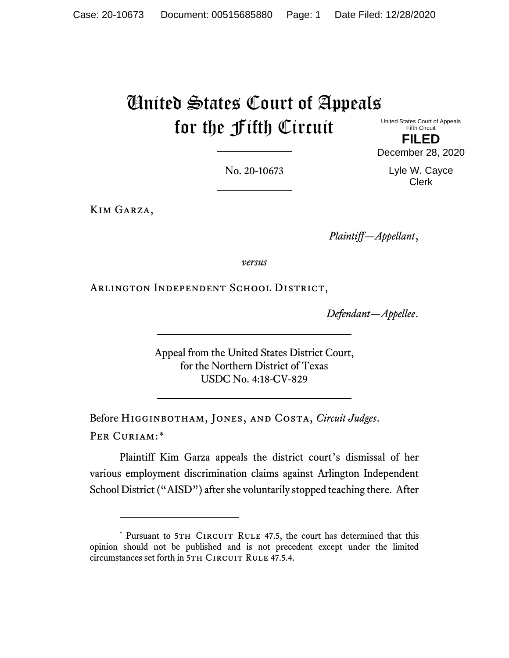## United States Court of Appeals for the Fifth Circuit

United States Court of Appeals Fifth Circuit

No. 20-10673

Kim Garza,

*Plaintiff—Appellant*,

*versus*

Arlington Independent School District,

*Defendant—Appellee*.

Appeal from the United States District Court, for the Northern District of Texas USDC No. 4:18-CV-829

Before Higginbotham, Jones, and Costa, *Circuit Judges*. PER CURIAM:[\\*](#page-0-0)

Plaintiff Kim Garza appeals the district court's dismissal of her various employment discrimination claims against Arlington Independent School District ("AISD") after she voluntarily stopped teaching there. After

**FILED** December 28, 2020

> Lyle W. Cayce Clerk

<span id="page-0-0"></span><sup>\*</sup> Pursuant to 5TH CIRCUIT RULE 47.5, the court has determined that this opinion should not be published and is not precedent except under the limited circumstances set forth in 5TH CIRCUIT RULE 47.5.4.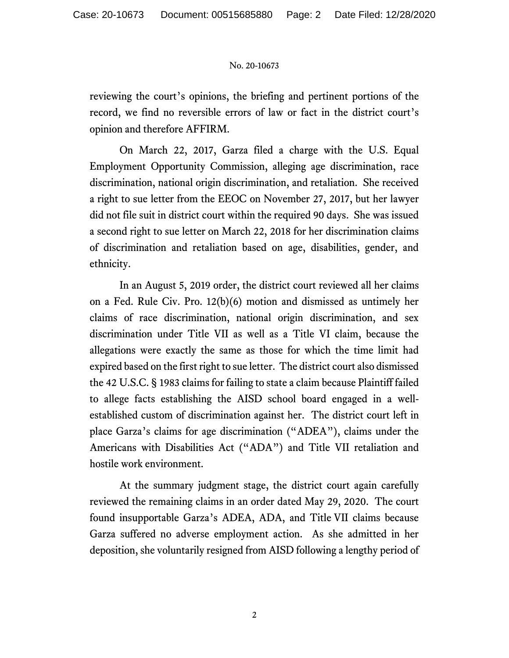## No. 20-10673

reviewing the court's opinions, the briefing and pertinent portions of the record, we find no reversible errors of law or fact in the district court's opinion and therefore AFFIRM.

On March 22, 2017, Garza filed a charge with the U.S. Equal Employment Opportunity Commission, alleging age discrimination, race discrimination, national origin discrimination, and retaliation. She received a right to sue letter from the EEOC on November 27, 2017, but her lawyer did not file suit in district court within the required 90 days. She was issued a second right to sue letter on March 22, 2018 for her discrimination claims of discrimination and retaliation based on age, disabilities, gender, and ethnicity.

In an August 5, 2019 order, the district court reviewed all her claims on a Fed. Rule Civ. Pro. 12(b)(6) motion and dismissed as untimely her claims of race discrimination, national origin discrimination, and sex discrimination under Title VII as well as a Title VI claim, because the allegations were exactly the same as those for which the time limit had expired based on the first right to sue letter. The district court also dismissed the 42 U.S.C. § 1983 claims for failing to state a claim because Plaintiff failed to allege facts establishing the AISD school board engaged in a wellestablished custom of discrimination against her. The district court left in place Garza's claims for age discrimination ("ADEA"), claims under the Americans with Disabilities Act ("ADA") and Title VII retaliation and hostile work environment.

At the summary judgment stage, the district court again carefully reviewed the remaining claims in an order dated May 29, 2020. The court found insupportable Garza's ADEA, ADA, and Title VII claims because Garza suffered no adverse employment action. As she admitted in her deposition, she voluntarily resigned from AISD following a lengthy period of